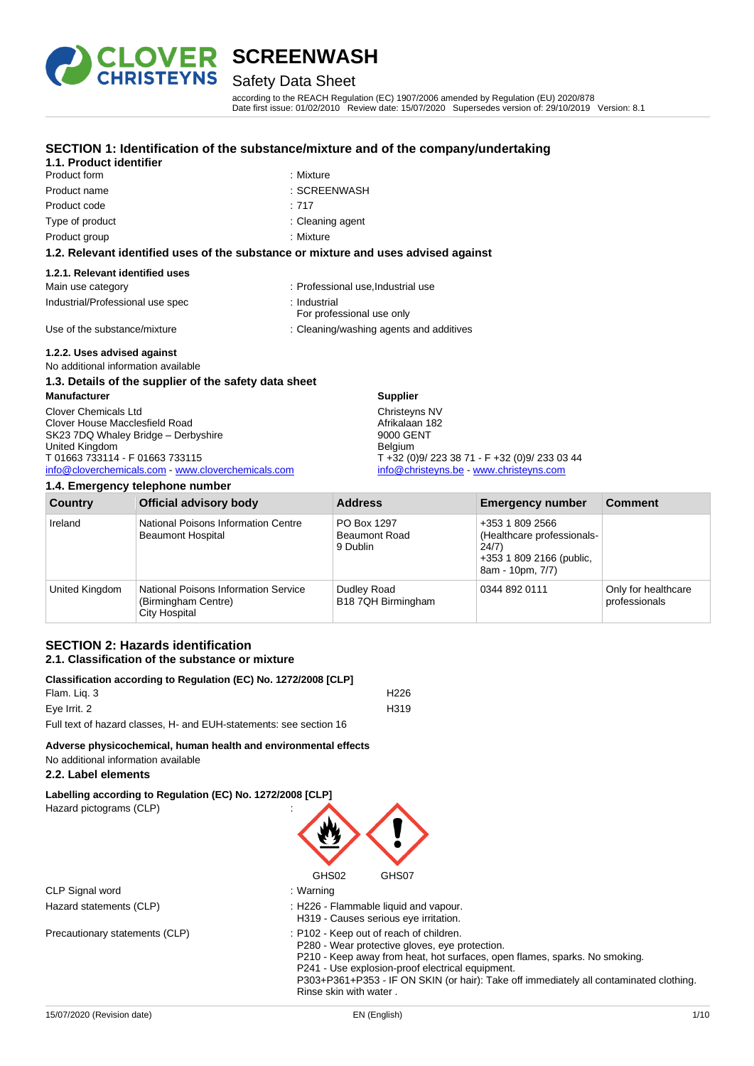

### Safety Data Sheet

according to the REACH Regulation (EC) 1907/2006 amended by Regulation (EU) 2020/878 Date first issue: 01/02/2010 Review date: 15/07/2020 Supersedes version of: 29/10/2019 Version: 8.1

#### **SECTION 1: Identification of the substance/mixture and of the company/undertaking**

| 1.1. Product identifier |  |
|-------------------------|--|
| Product form            |  |

- : Mixture Product name : SCREENWASH
	-
- Product code : 717 Type of product in the contract of the contract of the contract of the contract of the contract of the contract of the contract of the contract of the contract of the contract of the contract of the contract of the contrac
- Product group **: Mixture**

#### **1.2. Relevant identified uses of the substance or mixture and uses advised against**

#### **1.2.1. Relevant identified uses**

| Main use category                | : Professional use, Industrial use        |
|----------------------------------|-------------------------------------------|
| Industrial/Professional use spec | ∴ Industrial<br>For professional use only |
| Use of the substance/mixture     | : Cleaning/washing agents and additives   |

#### **1.2.2. Uses advised against**

No additional information available

#### **1.3. Details of the supplier of the safety data sheet**

**Manufacturer** Clover Chemicals Ltd Clover House Macclesfield Road SK23 7DQ Whaley Bridge – Derbyshire United Kingdom T 01663 733114 - F 01663 733115 [info@cloverchemicals.com](mailto:info@cloverchemicals.com) - [www.cloverchemicals.com](http://www.cloverchemicals.com/)

#### **1.4. Emergency telephone number**

Afrikalaan 182 9000 GENT Belgium T +32 (0)9/ 223 38 71 - F +32 (0)9/ 233 03 44 [info@christeyns.be](mailto:info@christeyns.be) - [www.christeyns.com](http://www.christeyns.com/)

| <b>Country</b> | <b>Official advisory body</b>                                                | <b>Address</b>                                  | <b>Emergency number</b>                                                                                | <b>Comment</b>                       |
|----------------|------------------------------------------------------------------------------|-------------------------------------------------|--------------------------------------------------------------------------------------------------------|--------------------------------------|
| Ireland        | National Poisons Information Centre<br><b>Beaumont Hospital</b>              | PO Box 1297<br><b>Beaumont Road</b><br>9 Dublin | +353 1 809 2566<br>(Healthcare professionals-<br>24/7)<br>+353 1 809 2166 (public,<br>8am - 10pm, 7/7) |                                      |
| United Kingdom | National Poisons Information Service<br>(Birmingham Centre)<br>City Hospital | Dudley Road<br>B18 7QH Birmingham               | 0344 892 0111                                                                                          | Only for healthcare<br>professionals |

**Supplier** Christeyns NV

#### **SECTION 2: Hazards identification 2.1. Classification of the substance or mixture**

#### **Classification according to Regulation (EC) No. 1272/2008 [CLP]** Flam. Liq. 3 H226 Eye Irrit. 2 H319

Full text of hazard classes, H- and EUH-statements: see section 16

#### **Adverse physicochemical, human health and environmental effects**

No additional information available

#### **2.2. Label elements**

**Labelling according to Regulation (EC) No. 1272/2008 [CLP]** Hazard pictograms (CLP) :



|                                | GHS02<br>GHS07                                                                                                                                                                                                              |
|--------------------------------|-----------------------------------------------------------------------------------------------------------------------------------------------------------------------------------------------------------------------------|
| CLP Signal word                | : Warning                                                                                                                                                                                                                   |
| Hazard statements (CLP)        | : H226 - Flammable liquid and vapour.<br>H319 - Causes serious eye irritation.                                                                                                                                              |
| Precautionary statements (CLP) | : P102 - Keep out of reach of children.<br>P280 - Wear protective gloves, eye protection.<br>P210 - Keep away from heat, hot surfaces, open flames, sparks. No smoking.<br>P241 - Use explosion-proof electrical equipment. |

P303+P361+P353 - IF ON SKIN (or hair): Take off immediately all contaminated clothing. Rinse skin with water .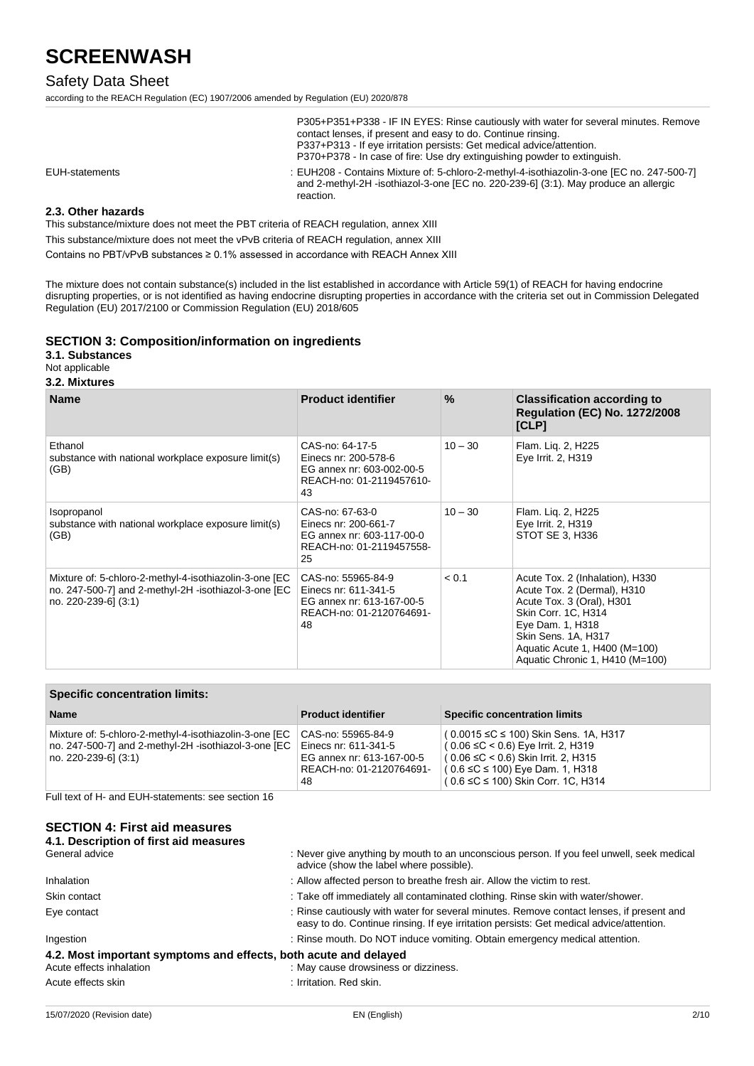### Safety Data Sheet

according to the REACH Regulation (EC) 1907/2006 amended by Regulation (EU) 2020/878

|                | P305+P351+P338 - IF IN EYES: Rinse cautiously with water for several minutes. Remove<br>contact lenses, if present and easy to do. Continue rinsing.<br>P337+P313 - If eye irritation persists: Get medical advice/attention.<br>P370+P378 - In case of fire: Use dry extinguishing powder to extinguish. |
|----------------|-----------------------------------------------------------------------------------------------------------------------------------------------------------------------------------------------------------------------------------------------------------------------------------------------------------|
| EUH-statements | : EUH208 - Contains Mixture of: 5-chloro-2-methyl-4-isothiazolin-3-one [EC no. 247-500-7]<br>and 2-methyl-2H -isothiazol-3-one [EC no. 220-239-6] (3:1). May produce an allergic<br>reaction.                                                                                                             |

#### **2.3. Other hazards**

This substance/mixture does not meet the PBT criteria of REACH regulation, annex XIII

This substance/mixture does not meet the vPvB criteria of REACH regulation, annex XIII

Contains no PBT/vPvB substances ≥ 0.1% assessed in accordance with REACH Annex XIII

The mixture does not contain substance(s) included in the list established in accordance with Article 59(1) of REACH for having endocrine disrupting properties, or is not identified as having endocrine disrupting properties in accordance with the criteria set out in Commission Delegated Regulation (EU) 2017/2100 or Commission Regulation (EU) 2018/605

#### **SECTION 3: Composition/information on ingredients**

**3.1. Substances**

Not applicable

#### **3.2. Mixtures**

| <b>Name</b>                                                                                                                            | <b>Product identifier</b>                                                                                 | $\frac{9}{6}$ | <b>Classification according to</b><br><b>Regulation (EC) No. 1272/2008</b><br>[CLP]                                                                                                                                               |
|----------------------------------------------------------------------------------------------------------------------------------------|-----------------------------------------------------------------------------------------------------------|---------------|-----------------------------------------------------------------------------------------------------------------------------------------------------------------------------------------------------------------------------------|
| Ethanol<br>substance with national workplace exposure limit(s)<br>(GB)                                                                 | CAS-no: 64-17-5<br>Einecs nr: 200-578-6<br>EG annex nr: 603-002-00-5<br>REACH-no: 01-2119457610-<br>43    | $10 - 30$     | Flam. Liq. 2, H225<br>Eye Irrit. 2, H319                                                                                                                                                                                          |
| Isopropanol<br>substance with national workplace exposure limit(s)<br>(GB)                                                             | CAS-no: 67-63-0<br>Einecs nr: 200-661-7<br>EG annex nr: 603-117-00-0<br>REACH-no: 01-2119457558-<br>25    | $10 - 30$     | Flam. Lig. 2, H225<br>Eye Irrit. 2, H319<br>STOT SE 3, H336                                                                                                                                                                       |
| Mixture of: 5-chloro-2-methyl-4-isothiazolin-3-one [EC<br>no. 247-500-7] and 2-methyl-2H -isothiazol-3-one [EC<br>no. 220-239-61 (3:1) | CAS-no: 55965-84-9<br>Einecs nr: 611-341-5<br>EG annex nr: 613-167-00-5<br>REACH-no: 01-2120764691-<br>48 | < 0.1         | Acute Tox. 2 (Inhalation), H330<br>Acute Tox. 2 (Dermal), H310<br>Acute Tox. 3 (Oral), H301<br>Skin Corr. 1C, H314<br>Eye Dam. 1, H318<br>Skin Sens. 1A, H317<br>Aquatic Acute 1, H400 (M=100)<br>Aquatic Chronic 1, H410 (M=100) |

#### **Specific concentration limits:**

| <b>Name</b>                                                                                                                              | <b>Product identifier</b>                                                                                 | <b>Specific concentration limits</b>                                                                                                                                                                                |
|------------------------------------------------------------------------------------------------------------------------------------------|-----------------------------------------------------------------------------------------------------------|---------------------------------------------------------------------------------------------------------------------------------------------------------------------------------------------------------------------|
| Mixture of: 5-chloro-2-methyl-4-isothiazolin-3-one [EC<br>no. 247-500-7] and 2-methyl-2H -isothiazol-3-one [EC<br>  no. 220-239-6] (3:1) | CAS-no: 55965-84-9<br>Einecs nr: 611-341-5<br>EG annex nr: 613-167-00-5<br>REACH-no: 01-2120764691-<br>48 | (0.0015 ≤C ≤ 100) Skin Sens. 1A, H317<br>  ( 0.06 ≤C < 0.6) Eye Irrit. 2, H319<br>  ( 0.06 ≤C < 0.6) Skin Irrit. 2, H315<br>$(0.6 \leq C \leq 100)$ Eye Dam. 1, H318<br>$(0.6 \leq C \leq 100)$ Skin Corr. 1C, H314 |

Full text of H- and EUH-statements: see section 16

### **SECTION 4: First aid measures**

| 4.1. Description of first aid measures |                                                                                                                                                                                     |
|----------------------------------------|-------------------------------------------------------------------------------------------------------------------------------------------------------------------------------------|
| General advice                         | : Never give anything by mouth to an unconscious person. If you feel unwell, seek medical<br>advice (show the label where possible).                                                |
| Inhalation                             | : Allow affected person to breathe fresh air. Allow the victim to rest.                                                                                                             |
| Skin contact                           | : Take off immediately all contaminated clothing. Rinse skin with water/shower.                                                                                                     |
| Eye contact                            | : Rinse cautiously with water for several minutes. Remove contact lenses, if present and<br>easy to do. Continue rinsing. If eye irritation persists: Get medical advice/attention. |
| Ingestion                              | : Rinse mouth. Do NOT induce vomiting. Obtain emergency medical attention.                                                                                                          |
|                                        | 4.2. Most important symptoms and effects, both acute and delayed                                                                                                                    |
| Acute effects inhalation               | : May cause drowsiness or dizziness.                                                                                                                                                |
| Acute effects skin                     | : Irritation. Red skin.                                                                                                                                                             |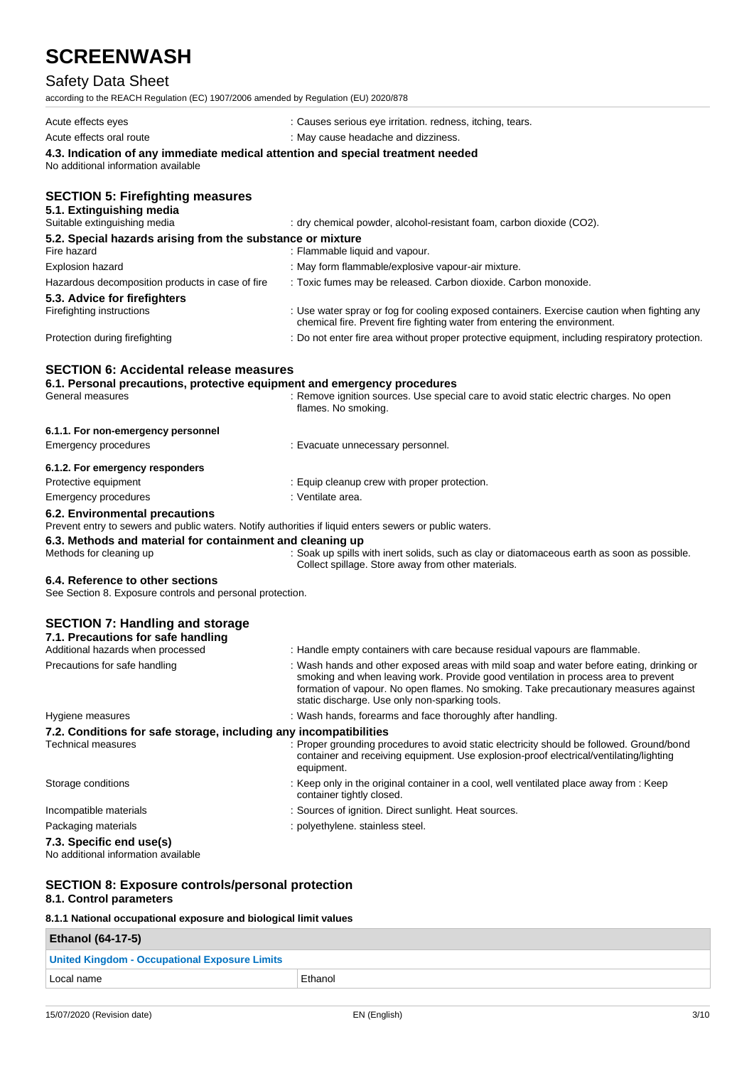## Safety Data Sheet

| Salety Data Sileet                                                                                                                            |                                                                                                                                                                                                                                                                                                                          |  |  |
|-----------------------------------------------------------------------------------------------------------------------------------------------|--------------------------------------------------------------------------------------------------------------------------------------------------------------------------------------------------------------------------------------------------------------------------------------------------------------------------|--|--|
| according to the REACH Regulation (EC) 1907/2006 amended by Regulation (EU) 2020/878                                                          |                                                                                                                                                                                                                                                                                                                          |  |  |
| Acute effects eyes                                                                                                                            | : Causes serious eye irritation. redness, itching, tears.                                                                                                                                                                                                                                                                |  |  |
| Acute effects oral route                                                                                                                      | : May cause headache and dizziness.                                                                                                                                                                                                                                                                                      |  |  |
| 4.3. Indication of any immediate medical attention and special treatment needed<br>No additional information available                        |                                                                                                                                                                                                                                                                                                                          |  |  |
| <b>SECTION 5: Firefighting measures</b><br>5.1. Extinguishing media<br>Suitable extinguishing media                                           | : dry chemical powder, alcohol-resistant foam, carbon dioxide (CO2).                                                                                                                                                                                                                                                     |  |  |
| 5.2. Special hazards arising from the substance or mixture<br>Fire hazard                                                                     | : Flammable liquid and vapour.                                                                                                                                                                                                                                                                                           |  |  |
| <b>Explosion hazard</b>                                                                                                                       | : May form flammable/explosive vapour-air mixture.                                                                                                                                                                                                                                                                       |  |  |
| Hazardous decomposition products in case of fire                                                                                              | : Toxic fumes may be released. Carbon dioxide. Carbon monoxide.                                                                                                                                                                                                                                                          |  |  |
| 5.3. Advice for firefighters<br>Firefighting instructions                                                                                     | : Use water spray or fog for cooling exposed containers. Exercise caution when fighting any<br>chemical fire. Prevent fire fighting water from entering the environment.                                                                                                                                                 |  |  |
| Protection during firefighting                                                                                                                | : Do not enter fire area without proper protective equipment, including respiratory protection.                                                                                                                                                                                                                          |  |  |
| <b>SECTION 6: Accidental release measures</b><br>6.1. Personal precautions, protective equipment and emergency procedures<br>General measures | : Remove ignition sources. Use special care to avoid static electric charges. No open<br>flames. No smoking.                                                                                                                                                                                                             |  |  |
| 6.1.1. For non-emergency personnel                                                                                                            |                                                                                                                                                                                                                                                                                                                          |  |  |
| <b>Emergency procedures</b>                                                                                                                   | : Evacuate unnecessary personnel.                                                                                                                                                                                                                                                                                        |  |  |
| 6.1.2. For emergency responders                                                                                                               |                                                                                                                                                                                                                                                                                                                          |  |  |
| Protective equipment                                                                                                                          | : Equip cleanup crew with proper protection.                                                                                                                                                                                                                                                                             |  |  |
| <b>Emergency procedures</b>                                                                                                                   | : Ventilate area.                                                                                                                                                                                                                                                                                                        |  |  |
| 6.2. Environmental precautions<br>Prevent entry to sewers and public waters. Notify authorities if liquid enters sewers or public waters.     |                                                                                                                                                                                                                                                                                                                          |  |  |
| 6.3. Methods and material for containment and cleaning up                                                                                     |                                                                                                                                                                                                                                                                                                                          |  |  |
| Methods for cleaning up                                                                                                                       | : Soak up spills with inert solids, such as clay or diatomaceous earth as soon as possible.<br>Collect spillage. Store away from other materials.                                                                                                                                                                        |  |  |
| 6.4. Reference to other sections<br>See Section 8. Exposure controls and personal protection.                                                 |                                                                                                                                                                                                                                                                                                                          |  |  |
| <b>SECTION 7: Handling and storage</b><br>7.1. Precautions for safe handling                                                                  |                                                                                                                                                                                                                                                                                                                          |  |  |
| Additional hazards when processed                                                                                                             | : Handle empty containers with care because residual vapours are flammable.                                                                                                                                                                                                                                              |  |  |
| Precautions for safe handling                                                                                                                 | : Wash hands and other exposed areas with mild soap and water before eating, drinking or<br>smoking and when leaving work. Provide good ventilation in process area to prevent<br>formation of vapour. No open flames. No smoking. Take precautionary measures against<br>static discharge. Use only non-sparking tools. |  |  |
| Hygiene measures                                                                                                                              | : Wash hands, forearms and face thoroughly after handling.                                                                                                                                                                                                                                                               |  |  |
| 7.2. Conditions for safe storage, including any incompatibilities<br><b>Technical measures</b>                                                | Proper grounding procedures to avoid static electricity should be followed. Ground/bond<br>container and receiving equipment. Use explosion-proof electrical/ventilating/lighting<br>equipment.                                                                                                                          |  |  |

Storage conditions : Keep only in the original container in a cool, well ventilated place away from : Keep

Incompatible materials **incompatible materials** : Sources of ignition. Direct sunlight. Heat sources.

Packaging materials **in the case of the case of the case of the case of the case of the case of the case of the case of the case of the case of the case of the case of the case of the case of the case of the case of the ca** 

#### **7.3. Specific end use(s)**

No additional information available

#### **SECTION 8: Exposure controls/personal protection 8.1. Control parameters**

#### **8.1.1 National occupational exposure and biological limit values**

| <b>Ethanol (64-17-5)</b>                             |         |
|------------------------------------------------------|---------|
| <b>United Kingdom - Occupational Exposure Limits</b> |         |
| ⊥Local name                                          | Ethanol |

container tightly closed.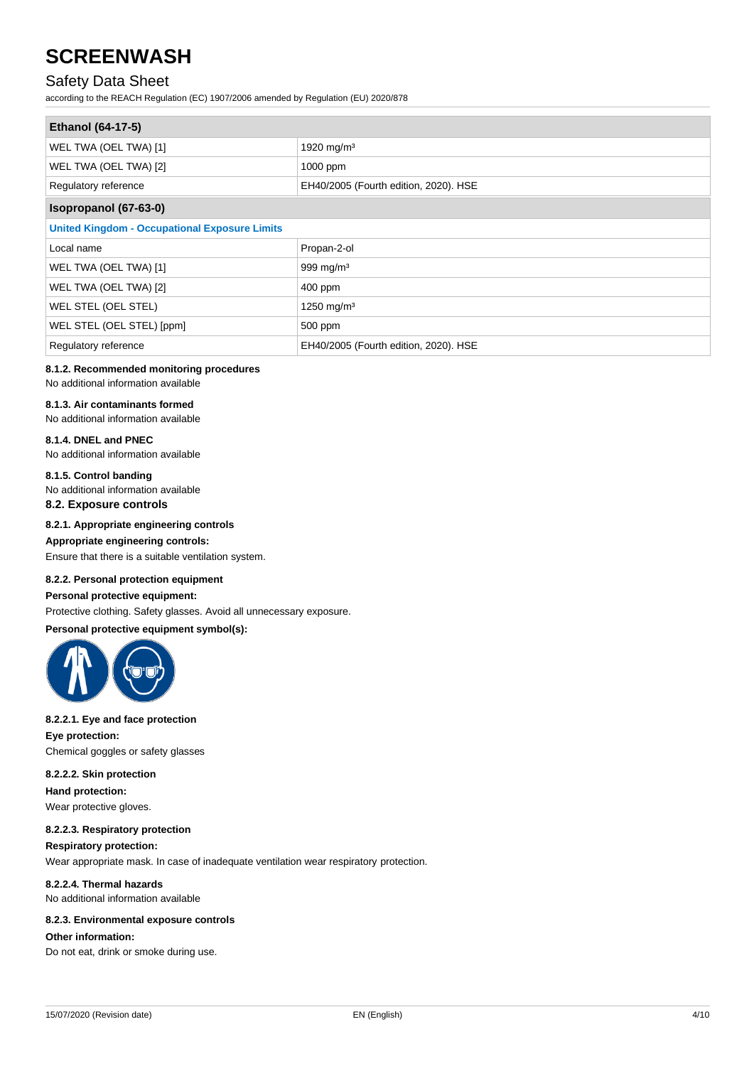### Safety Data Sheet

according to the REACH Regulation (EC) 1907/2006 amended by Regulation (EU) 2020/878

| <b>Ethanol (64-17-5)</b>                             |                                       |  |
|------------------------------------------------------|---------------------------------------|--|
| WEL TWA (OEL TWA) [1]                                | 1920 mg/m <sup>3</sup>                |  |
| WEL TWA (OEL TWA) [2]                                | 1000 ppm                              |  |
| Regulatory reference                                 | EH40/2005 (Fourth edition, 2020). HSE |  |
| Isopropanol (67-63-0)                                |                                       |  |
| <b>United Kingdom - Occupational Exposure Limits</b> |                                       |  |
| Local name                                           | Propan-2-ol                           |  |
| WEL TWA (OEL TWA) [1]                                | 999 mg/m $3$                          |  |
| WEL TWA (OEL TWA) [2]                                | 400 ppm                               |  |
| WEL STEL (OEL STEL)                                  | 1250 mg/m <sup>3</sup>                |  |
| WEL STEL (OEL STEL) [ppm]                            | 500 ppm                               |  |
| Regulatory reference                                 | EH40/2005 (Fourth edition, 2020). HSE |  |

#### **8.1.2. Recommended monitoring procedures**

No additional information available

#### **8.1.3. Air contaminants formed**

No additional information available

#### **8.1.4. DNEL and PNEC**

No additional information available

#### **8.1.5. Control banding**

No additional information available

**8.2. Exposure controls**

#### **8.2.1. Appropriate engineering controls**

#### **Appropriate engineering controls:**

Ensure that there is a suitable ventilation system.

#### **8.2.2. Personal protection equipment**

#### **Personal protective equipment:**

Protective clothing. Safety glasses. Avoid all unnecessary exposure.

#### **Personal protective equipment symbol(s):**



#### **8.2.2.1. Eye and face protection**

**Eye protection:** Chemical goggles or safety glasses

#### **8.2.2.2. Skin protection Hand protection:**

Wear protective gloves.

#### **8.2.2.3. Respiratory protection**

#### **Respiratory protection:**

Wear appropriate mask. In case of inadequate ventilation wear respiratory protection.

**8.2.2.4. Thermal hazards** No additional information available

#### **8.2.3. Environmental exposure controls**

#### **Other information:**

Do not eat, drink or smoke during use.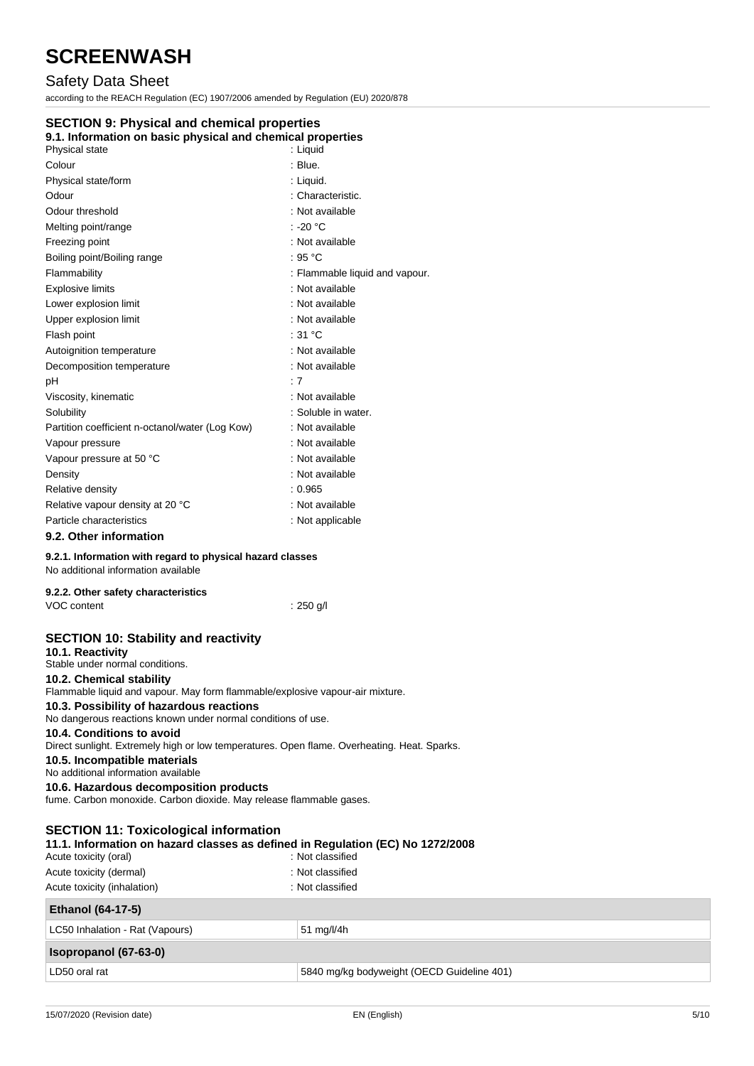### Safety Data Sheet

according to the REACH Regulation (EC) 1907/2006 amended by Regulation (EU) 2020/878

### **SECTION 9: Physical and chemical properties**

#### **9.1. Information on basic physical and chemical properties**

| Physical state                                  | : Liquid                       |
|-------------------------------------------------|--------------------------------|
| Colour                                          | : Blue.                        |
| Physical state/form                             | : Liquid.                      |
| Odour                                           | : Characteristic.              |
| Odour threshold                                 | : Not available                |
| Melting point/range                             | : -20 °C                       |
| Freezing point                                  | : Not available                |
| Boiling point/Boiling range                     | : 95 $^{\circ}$ C              |
| Flammability                                    | : Flammable liquid and vapour. |
| <b>Explosive limits</b>                         | : Not available                |
| Lower explosion limit                           | : Not available                |
| Upper explosion limit                           | : Not available                |
| Flash point                                     | :31 °C                         |
| Autoignition temperature                        | : Not available                |
| Decomposition temperature                       | : Not available                |
| pH                                              | : 7                            |
| Viscosity, kinematic                            | : Not available                |
| Solubility                                      | : Soluble in water.            |
| Partition coefficient n-octanol/water (Log Kow) | : Not available                |
| Vapour pressure                                 | : Not available                |
| Vapour pressure at 50 °C                        | : Not available                |
| Density                                         | : Not available                |
| Relative density                                | : 0.965                        |
| Relative vapour density at 20 °C                | : Not available                |
| Particle characteristics                        | : Not applicable               |
| 9.2. Other information                          |                                |

#### **9.2.1. Information with regard to physical hazard classes**

No additional information available

| 9.2.2. Other safety characteristics |             |
|-------------------------------------|-------------|
| VOC content                         | $: 250$ g/l |

### **SECTION 10: Stability and reactivity**

| <b>SLOTION TO: Stability and reactivity</b><br>10.1. Reactivity                                                          |                  |
|--------------------------------------------------------------------------------------------------------------------------|------------------|
| Stable under normal conditions.                                                                                          |                  |
| 10.2. Chemical stability                                                                                                 |                  |
| Flammable liquid and vapour. May form flammable/explosive vapour-air mixture.                                            |                  |
| 10.3. Possibility of hazardous reactions<br>No dangerous reactions known under normal conditions of use.                 |                  |
| 10.4. Conditions to avoid<br>Direct sunlight. Extremely high or low temperatures. Open flame. Overheating. Heat. Sparks. |                  |
| 10.5. Incompatible materials<br>No additional information available                                                      |                  |
| 10.6. Hazardous decomposition products<br>fume. Carbon monoxide. Carbon dioxide. May release flammable gases.            |                  |
| <b>SECTION 11: Toxicological information</b>                                                                             |                  |
| 11.1. Information on hazard classes as defined in Regulation (EC) No 1272/2008                                           |                  |
| Acute toxicity (oral)                                                                                                    | : Not classified |
| Acute toxicity (dermal)                                                                                                  | : Not classified |
| Acute toxicity (inhalation)                                                                                              | : Not classified |
| <b>Ethanol (64-17-5)</b>                                                                                                 |                  |
| LC50 Inhalation - Rat (Vapours)                                                                                          | 51 mg/l/4h       |
| $1 - 1.070$ Contracts and $(0.700)$                                                                                      |                  |

## **Isopropanol (67-63-0)**

LD50 oral rat **Fig. 2018** 15840 mg/kg bodyweight (OECD Guideline 401)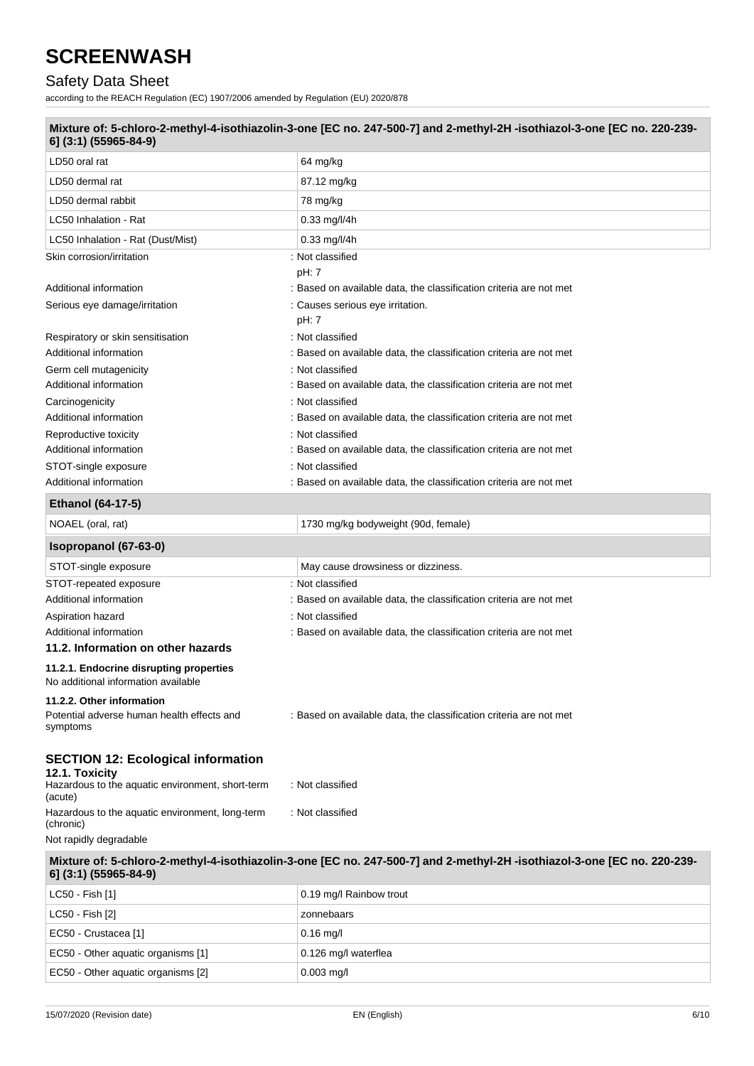### Safety Data Sheet

according to the REACH Regulation (EC) 1907/2006 amended by Regulation (EU) 2020/878

| 6] (3:1) (55965-84-9)                                                          | Mixture of: 5-chloro-2-methyl-4-isothiazolin-3-one [EC no. 247-500-7] and 2-methyl-2H-isothiazol-3-one [EC no. 220-239- |
|--------------------------------------------------------------------------------|-------------------------------------------------------------------------------------------------------------------------|
| LD50 oral rat                                                                  | 64 mg/kg                                                                                                                |
| LD50 dermal rat                                                                | 87.12 mg/kg                                                                                                             |
| LD50 dermal rabbit                                                             | 78 mg/kg                                                                                                                |
| LC50 Inhalation - Rat                                                          | $0.33$ mg/l/4h                                                                                                          |
| LC50 Inhalation - Rat (Dust/Mist)                                              | 0.33 mg/l/4h                                                                                                            |
| Skin corrosion/irritation                                                      | : Not classified                                                                                                        |
|                                                                                | pH: 7                                                                                                                   |
| Additional information                                                         | : Based on available data, the classification criteria are not met                                                      |
| Serious eye damage/irritation                                                  | : Causes serious eye irritation.                                                                                        |
|                                                                                | pH: 7                                                                                                                   |
| Respiratory or skin sensitisation                                              | : Not classified                                                                                                        |
| Additional information                                                         | : Based on available data, the classification criteria are not met                                                      |
| Germ cell mutagenicity                                                         | : Not classified                                                                                                        |
| Additional information                                                         | : Based on available data, the classification criteria are not met                                                      |
| Carcinogenicity                                                                | : Not classified                                                                                                        |
| Additional information                                                         | : Based on available data, the classification criteria are not met                                                      |
| Reproductive toxicity                                                          | : Not classified                                                                                                        |
| Additional information                                                         | : Based on available data, the classification criteria are not met                                                      |
| STOT-single exposure                                                           | : Not classified                                                                                                        |
| Additional information                                                         | : Based on available data, the classification criteria are not met                                                      |
| Ethanol (64-17-5)                                                              |                                                                                                                         |
| NOAEL (oral, rat)                                                              | 1730 mg/kg bodyweight (90d, female)                                                                                     |
| Isopropanol (67-63-0)                                                          |                                                                                                                         |
| STOT-single exposure                                                           | May cause drowsiness or dizziness.                                                                                      |
| STOT-repeated exposure                                                         | : Not classified                                                                                                        |
| Additional information                                                         | : Based on available data, the classification criteria are not met                                                      |
| Aspiration hazard                                                              | : Not classified                                                                                                        |
| Additional information                                                         | : Based on available data, the classification criteria are not met                                                      |
| 11.2. Information on other hazards                                             |                                                                                                                         |
| 11.2.1. Endocrine disrupting properties<br>No additional information available |                                                                                                                         |
| 11.2.2. Other information                                                      |                                                                                                                         |
| Potential adverse human health effects and<br>symptoms                         | : Based on available data, the classification criteria are not met                                                      |
| <b>SECTION 12: Ecological information</b><br>12.1. Toxicity                    |                                                                                                                         |
| Hazardous to the aquatic environment, short-term<br>(acute)                    | : Not classified                                                                                                        |
| Hazardous to the aquatic environment, long-term                                | : Not classified                                                                                                        |
| (chronic)                                                                      |                                                                                                                         |
| Not rapidly degradable                                                         |                                                                                                                         |
| 6] (3:1) (55965-84-9)                                                          | Mixture of: 5-chloro-2-methyl-4-isothiazolin-3-one [EC no. 247-500-7] and 2-methyl-2H-isothiazol-3-one [EC no. 220-239- |
| LC50 - Fish [1]                                                                | 0.19 mg/l Rainbow trout                                                                                                 |
| LC50 - Fish [2]                                                                | zonnebaars                                                                                                              |

EC50 - Other aquatic organisms [1] 0.126 mg/l waterflea

 $\vert$  EC50 - Other aquatic organisms [2]  $\vert$  0.003 mg/l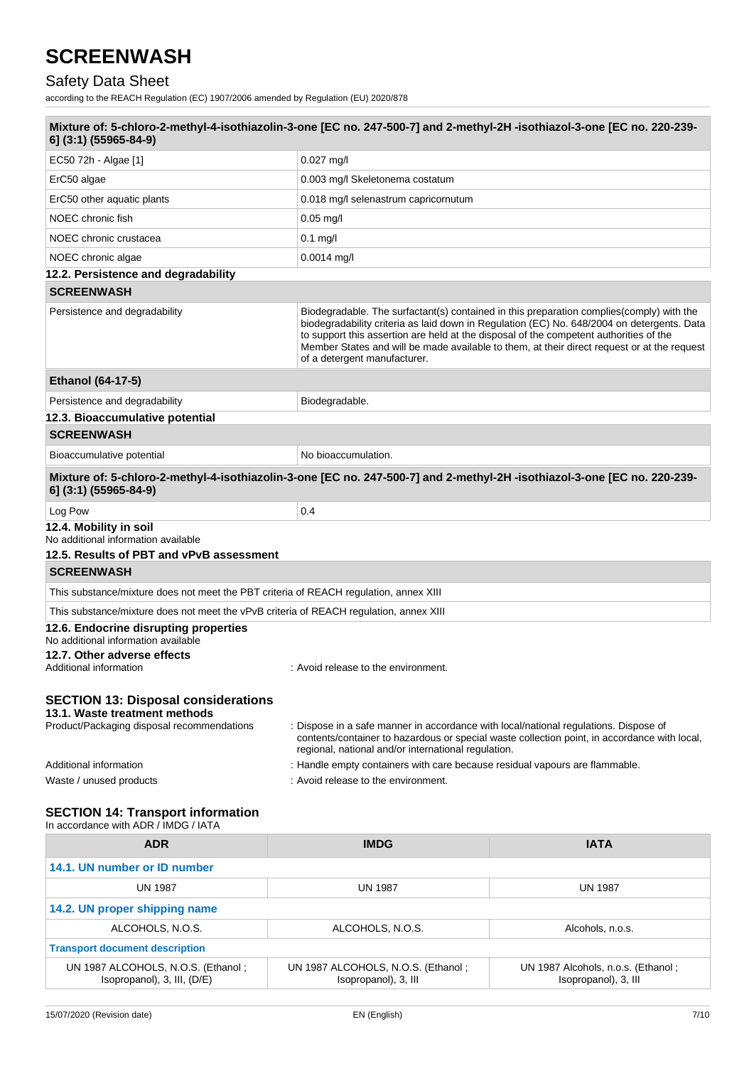## Safety Data Sheet

according to the REACH Regulation (EC) 1907/2006 amended by Regulation (EU) 2020/878

| Mixture of: 5-chloro-2-methyl-4-isothiazolin-3-one [EC no. 247-500-7] and 2-methyl-2H-isothiazol-3-one [EC no. 220-239-<br>6] (3:1) (55965-84-9) |                                                                                                                                             |                                                                                                                                                                                                                                                                                       |
|--------------------------------------------------------------------------------------------------------------------------------------------------|---------------------------------------------------------------------------------------------------------------------------------------------|---------------------------------------------------------------------------------------------------------------------------------------------------------------------------------------------------------------------------------------------------------------------------------------|
| EC50 72h - Algae [1]                                                                                                                             | $0.027$ mg/l                                                                                                                                |                                                                                                                                                                                                                                                                                       |
| ErC50 algae                                                                                                                                      | 0.003 mg/l Skeletonema costatum                                                                                                             |                                                                                                                                                                                                                                                                                       |
| ErC50 other aquatic plants                                                                                                                       | 0.018 mg/l selenastrum capricornutum                                                                                                        |                                                                                                                                                                                                                                                                                       |
| NOEC chronic fish                                                                                                                                | $0.05 \,\mathrm{mg/l}$                                                                                                                      |                                                                                                                                                                                                                                                                                       |
| NOEC chronic crustacea                                                                                                                           | $0.1$ mg/l                                                                                                                                  |                                                                                                                                                                                                                                                                                       |
| NOEC chronic algae                                                                                                                               | $0.0014$ mg/l                                                                                                                               |                                                                                                                                                                                                                                                                                       |
| 12.2. Persistence and degradability                                                                                                              |                                                                                                                                             |                                                                                                                                                                                                                                                                                       |
| <b>SCREENWASH</b>                                                                                                                                |                                                                                                                                             |                                                                                                                                                                                                                                                                                       |
| Persistence and degradability                                                                                                                    | to support this assertion are held at the disposal of the competent authorities of the<br>of a detergent manufacturer.                      | Biodegradable. The surfactant(s) contained in this preparation complies(comply) with the<br>biodegradability criteria as laid down in Regulation (EC) No. 648/2004 on detergents. Data<br>Member States and will be made available to them, at their direct request or at the request |
| Ethanol (64-17-5)                                                                                                                                |                                                                                                                                             |                                                                                                                                                                                                                                                                                       |
| Persistence and degradability                                                                                                                    | Biodegradable.                                                                                                                              |                                                                                                                                                                                                                                                                                       |
| 12.3. Bioaccumulative potential                                                                                                                  |                                                                                                                                             |                                                                                                                                                                                                                                                                                       |
| <b>SCREENWASH</b>                                                                                                                                |                                                                                                                                             |                                                                                                                                                                                                                                                                                       |
| Bioaccumulative potential                                                                                                                        | No bioaccumulation.                                                                                                                         |                                                                                                                                                                                                                                                                                       |
| Mixture of: 5-chloro-2-methyl-4-isothiazolin-3-one [EC no. 247-500-7] and 2-methyl-2H-isothiazol-3-one [EC no. 220-239-<br>6] (3:1) (55965-84-9) |                                                                                                                                             |                                                                                                                                                                                                                                                                                       |
| Log Pow                                                                                                                                          | 0.4                                                                                                                                         |                                                                                                                                                                                                                                                                                       |
| 12.4. Mobility in soil<br>No additional information available                                                                                    |                                                                                                                                             |                                                                                                                                                                                                                                                                                       |
| 12.5. Results of PBT and vPvB assessment                                                                                                         |                                                                                                                                             |                                                                                                                                                                                                                                                                                       |
| <b>SCREENWASH</b>                                                                                                                                |                                                                                                                                             |                                                                                                                                                                                                                                                                                       |
| This substance/mixture does not meet the PBT criteria of REACH regulation, annex XIII                                                            |                                                                                                                                             |                                                                                                                                                                                                                                                                                       |
| This substance/mixture does not meet the vPvB criteria of REACH regulation, annex XIII                                                           |                                                                                                                                             |                                                                                                                                                                                                                                                                                       |
| 12.6. Endocrine disrupting properties<br>No additional information available<br>12.7. Other adverse effects<br>Additional information            | : Avoid release to the environment.                                                                                                         |                                                                                                                                                                                                                                                                                       |
| <b>SECTION 13: Disposal considerations</b><br>13.1. Waste treatment methods<br>Product/Packaging disposal recommendations                        | : Dispose in a safe manner in accordance with local/national regulations. Dispose of<br>regional, national and/or international regulation. | contents/container to hazardous or special waste collection point, in accordance with local,                                                                                                                                                                                          |
| Additional information                                                                                                                           | : Handle empty containers with care because residual vapours are flammable.                                                                 |                                                                                                                                                                                                                                                                                       |
| Waste / unused products                                                                                                                          | : Avoid release to the environment.                                                                                                         |                                                                                                                                                                                                                                                                                       |
| <b>SECTION 14: Transport information</b><br>In accordance with ADR / IMDG / IATA<br><b>ADR</b>                                                   | <b>IMDG</b>                                                                                                                                 | <b>IATA</b>                                                                                                                                                                                                                                                                           |

| ADR                                                               | <b>IIVIDG</b>                                              | IAIA                                                       |
|-------------------------------------------------------------------|------------------------------------------------------------|------------------------------------------------------------|
| 14.1. UN number or ID number                                      |                                                            |                                                            |
| <b>UN 1987</b>                                                    | UN 1987                                                    | UN 1987                                                    |
| 14.2. UN proper shipping name                                     |                                                            |                                                            |
| ALCOHOLS, N.O.S.                                                  | ALCOHOLS, N.O.S.                                           | Alcohols, n.o.s.                                           |
| <b>Transport document description</b>                             |                                                            |                                                            |
| UN 1987 ALCOHOLS, N.O.S. (Ethanol;<br>Isopropanol), 3, III, (D/E) | UN 1987 ALCOHOLS, N.O.S. (Ethanol;<br>Isopropanol), 3, III | UN 1987 Alcohols, n.o.s. (Ethanol;<br>Isopropanol), 3, Ill |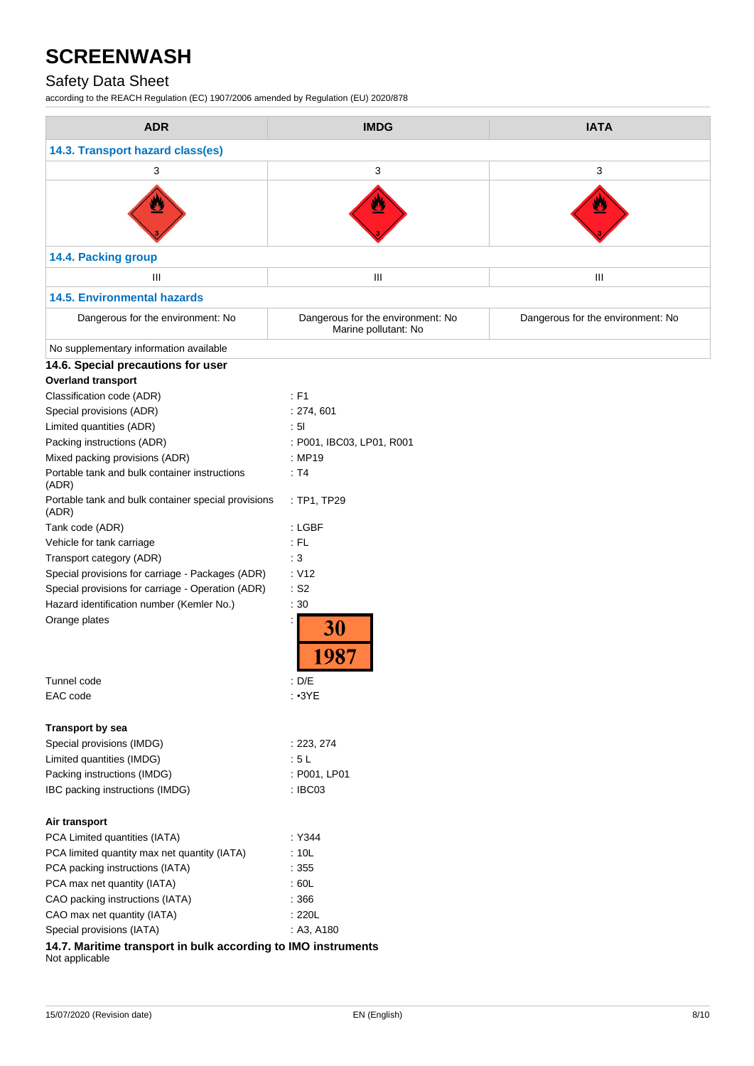## Safety Data Sheet

according to the REACH Regulation (EC) 1907/2006 amended by Regulation (EU) 2020/878

| <b>ADR</b>                                                                      | <b>IMDG</b>                                               | <b>IATA</b>                       |
|---------------------------------------------------------------------------------|-----------------------------------------------------------|-----------------------------------|
| 14.3. Transport hazard class(es)                                                |                                                           |                                   |
| 3                                                                               | 3                                                         | 3                                 |
| ⋓                                                                               |                                                           |                                   |
| 14.4. Packing group                                                             |                                                           |                                   |
| Ш                                                                               | Ш                                                         | Ш                                 |
| <b>14.5. Environmental hazards</b>                                              |                                                           |                                   |
| Dangerous for the environment: No                                               | Dangerous for the environment: No<br>Marine pollutant: No | Dangerous for the environment: No |
| No supplementary information available                                          |                                                           |                                   |
| 14.6. Special precautions for user                                              |                                                           |                                   |
| <b>Overland transport</b>                                                       |                                                           |                                   |
| Classification code (ADR)                                                       | : F1                                                      |                                   |
| Special provisions (ADR)                                                        | : 274, 601                                                |                                   |
| Limited quantities (ADR)                                                        | : 51                                                      |                                   |
| Packing instructions (ADR)                                                      | : P001, IBC03, LP01, R001                                 |                                   |
| Mixed packing provisions (ADR)                                                  | : MP19                                                    |                                   |
| Portable tank and bulk container instructions<br>(ADR)                          | : T4                                                      |                                   |
| Portable tank and bulk container special provisions<br>(ADR)                    | : TP1, TP29                                               |                                   |
| Tank code (ADR)                                                                 | : LGBF                                                    |                                   |
| Vehicle for tank carriage                                                       | : FL                                                      |                                   |
| Transport category (ADR)                                                        | :3                                                        |                                   |
| Special provisions for carriage - Packages (ADR)                                | : V12                                                     |                                   |
| Special provisions for carriage - Operation (ADR)                               | $\cdot$ S2                                                |                                   |
| Hazard identification number (Kemler No.)                                       | : 30                                                      |                                   |
| Orange plates                                                                   | 30                                                        |                                   |
| Tunnel code                                                                     | : $D/E$                                                   |                                   |
| EAC code                                                                        | : 3YE                                                     |                                   |
| <b>Transport by sea</b>                                                         |                                                           |                                   |
| Special provisions (IMDG)                                                       | : 223, 274                                                |                                   |
| Limited quantities (IMDG)                                                       | : 5L                                                      |                                   |
| Packing instructions (IMDG)                                                     | : P001, LP01                                              |                                   |
| IBC packing instructions (IMDG)                                                 | : IBC03                                                   |                                   |
| Air transport                                                                   |                                                           |                                   |
| PCA Limited quantities (IATA)                                                   | : Y344                                                    |                                   |
| PCA limited quantity max net quantity (IATA)                                    | :10L                                                      |                                   |
| PCA packing instructions (IATA)                                                 | :355                                                      |                                   |
| PCA max net quantity (IATA)                                                     | :60L                                                      |                                   |
| CAO packing instructions (IATA)                                                 | :366                                                      |                                   |
| CAO max net quantity (IATA)                                                     | : 220L                                                    |                                   |
| Special provisions (IATA)                                                       | : A3, A180                                                |                                   |
| 14.7. Maritime transport in bulk according to IMO instruments<br>Not applicable |                                                           |                                   |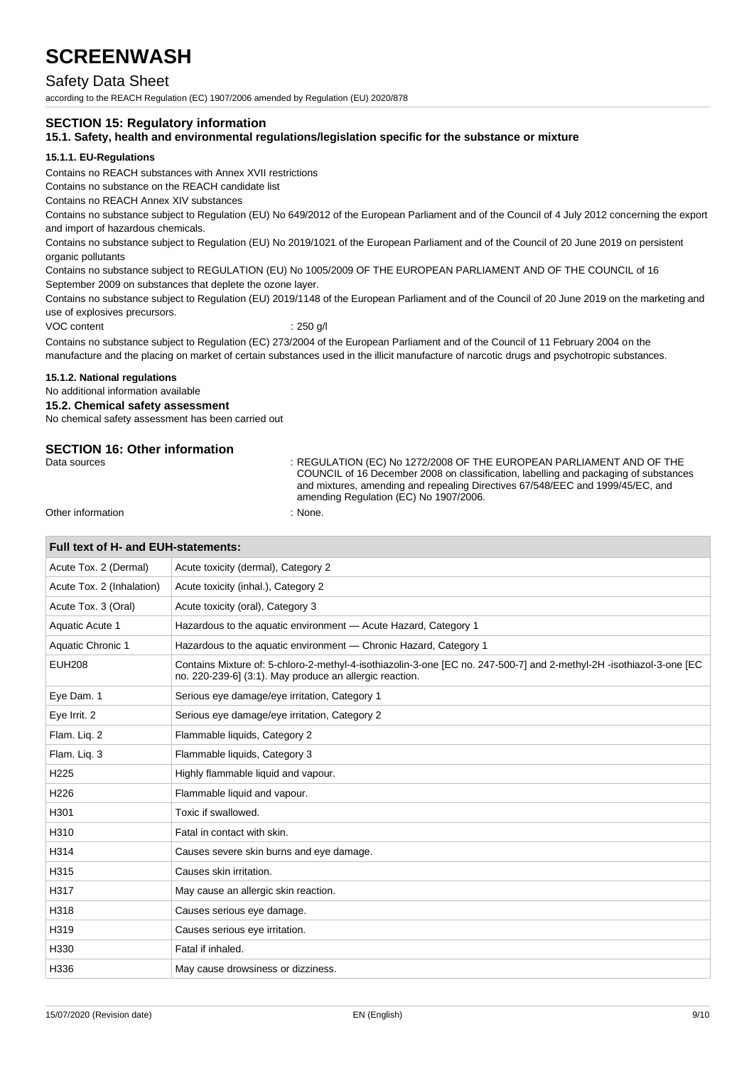### Safety Data Sheet

according to the REACH Regulation (EC) 1907/2006 amended by Regulation (EU) 2020/878

#### **SECTION 15: Regulatory information**

#### **15.1. Safety, health and environmental regulations/legislation specific for the substance or mixture**

#### **15.1.1. EU-Regulations**

Contains no REACH substances with Annex XVII restrictions

Contains no substance on the REACH candidate list

Contains no REACH Annex XIV substances

Contains no substance subject to Regulation (EU) No 649/2012 of the European Parliament and of the Council of 4 July 2012 concerning the export and import of hazardous chemicals.

Contains no substance subject to Regulation (EU) No 2019/1021 of the European Parliament and of the Council of 20 June 2019 on persistent organic pollutants

Contains no substance subject to REGULATION (EU) No 1005/2009 OF THE EUROPEAN PARLIAMENT AND OF THE COUNCIL of 16 September 2009 on substances that deplete the ozone layer.

Contains no substance subject to Regulation (EU) 2019/1148 of the European Parliament and of the Council of 20 June 2019 on the marketing and use of explosives precursors.

VOC content : 250 g/l

Contains no substance subject to Regulation (EC) 273/2004 of the European Parliament and of the Council of 11 February 2004 on the manufacture and the placing on market of certain substances used in the illicit manufacture of narcotic drugs and psychotropic substances.

#### **15.1.2. National regulations**

No additional information available

#### **15.2. Chemical safety assessment**

No chemical safety assessment has been carried out

## **SECTION 16: Other information**<br>Data sources

: REGULATION (EC) No 1272/2008 OF THE EUROPEAN PARLIAMENT AND OF THE COUNCIL of 16 December 2008 on classification, labelling and packaging of substances and mixtures, amending and repealing Directives 67/548/EEC and 1999/45/EC, and amending Regulation (EC) No 1907/2006.

Other information  $\blacksquare$ 

| Full text of H- and EUH-statements:                                                                                                                                             |  |  |
|---------------------------------------------------------------------------------------------------------------------------------------------------------------------------------|--|--|
| Acute toxicity (dermal), Category 2                                                                                                                                             |  |  |
| Acute toxicity (inhal.), Category 2                                                                                                                                             |  |  |
| Acute toxicity (oral), Category 3                                                                                                                                               |  |  |
| Hazardous to the aquatic environment - Acute Hazard, Category 1                                                                                                                 |  |  |
| Hazardous to the aquatic environment - Chronic Hazard, Category 1                                                                                                               |  |  |
| Contains Mixture of: 5-chloro-2-methyl-4-isothiazolin-3-one [EC no. 247-500-7] and 2-methyl-2H -isothiazol-3-one [EC<br>no. 220-239-6] (3:1). May produce an allergic reaction. |  |  |
| Serious eye damage/eye irritation, Category 1                                                                                                                                   |  |  |
| Serious eye damage/eye irritation, Category 2                                                                                                                                   |  |  |
| Flammable liquids, Category 2                                                                                                                                                   |  |  |
| Flammable liquids, Category 3                                                                                                                                                   |  |  |
| Highly flammable liquid and vapour.                                                                                                                                             |  |  |
| Flammable liquid and vapour.                                                                                                                                                    |  |  |
| Toxic if swallowed.                                                                                                                                                             |  |  |
| Fatal in contact with skin.                                                                                                                                                     |  |  |
| Causes severe skin burns and eye damage.                                                                                                                                        |  |  |
| Causes skin irritation.                                                                                                                                                         |  |  |
| May cause an allergic skin reaction.                                                                                                                                            |  |  |
| Causes serious eye damage.                                                                                                                                                      |  |  |
| Causes serious eye irritation.                                                                                                                                                  |  |  |
| Fatal if inhaled.                                                                                                                                                               |  |  |
| May cause drowsiness or dizziness.                                                                                                                                              |  |  |
|                                                                                                                                                                                 |  |  |